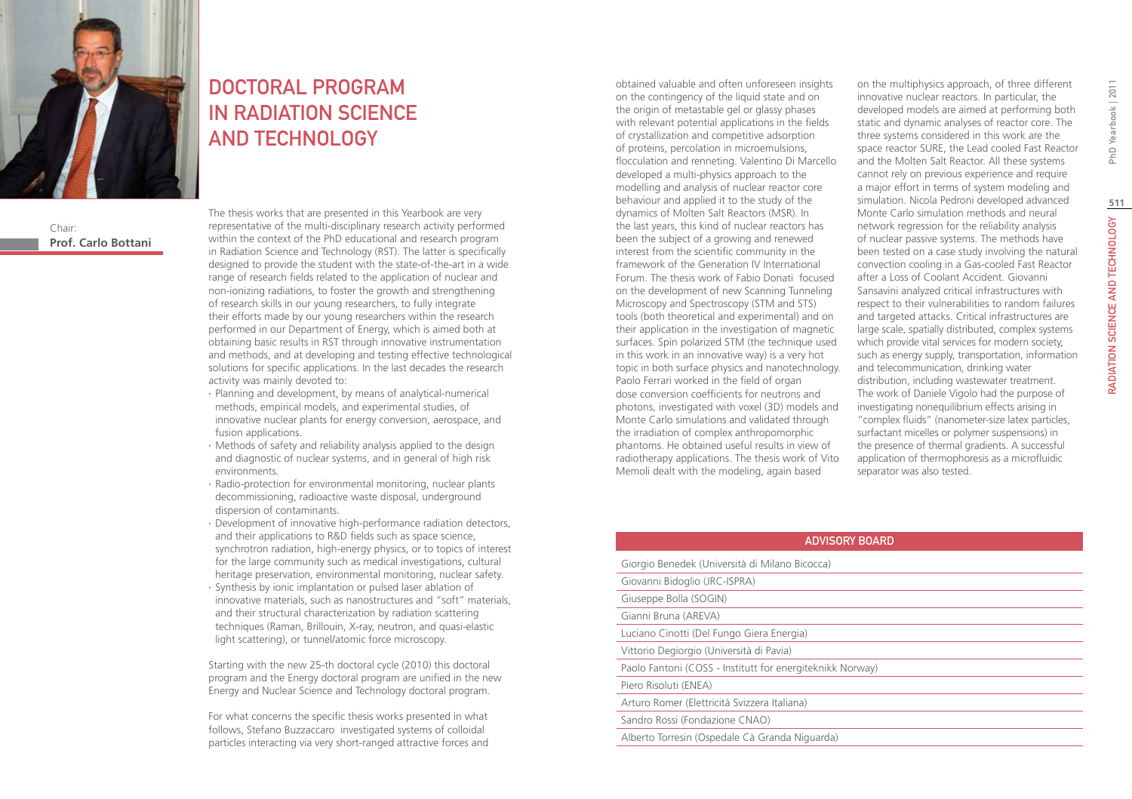

Chair: **Prof. Carlo Bottani**

# DOCTORAL PROGRAM IN RADIATION SCIENCE AND TECHNOLOGY

The thesis works that are presented in this Yearbook are very representative of the multi-disciplinary research activity performed within the context of the PhD educational and research program in Radiation Science and Technology (RST). The latter is specifically designed to provide the student with the state-of-the-art in a wide range of research fields related to the application of nuclear and non-ionizing radiations, to foster the growth and strengthening of research skills in our young researchers, to fully integrate their efforts made by our young researchers within the research performed in our Department of Energy, which is aimed both at obtaining basic results in RST through innovative instrumentation and methods, and at developing and testing effective technological solutions for specific applications. In the last decades the research activity was mainly devoted to:

- ∙ Planning and development, by means of analytical-numerical methods, empirical models, and experimental studies, of innovative nuclear plants for energy conversion, aerospace, and fusion applications.
- ∙ Methods of safety and reliability analysis applied to the design and diagnostic of nuclear systems, and in general of high risk environments.
- ∙ Radio-protection for environmental monitoring, nuclear plants decommissioning, radioactive waste disposal, underground dispersion of contaminants.
- ∙ Development of innovative high-performance radiation detectors, and their applications to R&D fields such as space science, synchrotron radiation, high-energy physics, or to topics of interest for the large community such as medical investigations, cultural heritage preservation, environmental monitoring, nuclear safety.
- ∙ Synthesis by ionic implantation or pulsed laser ablation of innovative materials, such as nanostructures and "soft" materials, and their structural characterization by radiation scattering techniques (Raman, Brillouin, X-ray, neutron, and quasi-elastic light scattering), or tunnel/atomic force microscopy.

Starting with the new 25-th doctoral cycle (2010) this doctoral program and the Energy doctoral program are unified in the new Energy and Nuclear Science and Technology doctoral program.

For what concerns the specific thesis works presented in what follows, Stefano Buzzaccaro investigated systems of colloidal particles interacting via very short-ranged attractive forces and obtained valuable and often unforeseen insights on the contingency of the liquid state and on the origin of metastable gel or glassy phases with relevant potential applications in the fields of crystallization and competitive adsorption of proteins, percolation in microemulsions, flocculation and renneting. Valentino Di Marcello developed a multi-physics approach to the modelling and analysis of nuclear reactor core behaviour and applied it to the study of the dynamics of Molten Salt Reactors (MSR). In the last years, this kind of nuclear reactors has been the subject of a growing and renewed interest from the scientific community in the framework of the Generation IV International Forum. The thesis work of Fabio Donati focused on the development of new Scanning Tunneling Microscopy and Spectroscopy (STM and STS) tools (both theoretical and experimental) and on their application in the investigation of magnetic surfaces. Spin polarized STM (the technique used in this work in an innovative way) is a very hot topic in both surface physics and nanotechnology. Paolo Ferrari worked in the field of organ dose conversion coefficients for neutrons and photons, investigated with voxel (3D) models and Monte Carlo simulations and validated through the irradiation of complex anthropomorphic phantoms. He obtained useful results in view of radiotherapy applications. The thesis work of Vito Memoli dealt with the modeling, again based

on the multiphysics approach, of three different innovative nuclear reactors. In particular, the developed models are aimed at performing both static and dynamic analyses of reactor core. The three systems considered in this work are the space reactor SURE, the Lead cooled Fast Reactor and the Molten Salt Reactor. All these systems cannot rely on previous experience and require a major effort in terms of system modeling and simulation. Nicola Pedroni developed advanced Monte Carlo simulation methods and neural network regression for the reliability analysis of nuclear passive systems. The methods have been tested on a case study involving the natural convection cooling in a Gas-cooled Fast Reactor after a Loss of Coolant Accident. Giovanni Sansavini analyzed critical infrastructures with respect to their vulnerabilities to random failures and targeted attacks. Critical infrastructures are large scale, spatially distributed, complex systems which provide vital services for modern society, such as energy supply, transportation, information and telecommunication, drinking water distribution, including wastewater treatment. The work of Daniele Vigolo had the purpose of investigating nonequilibrium effects arising in "complex fluids" (nanometer-size latex particles, surfactant micelles or polymer suspensions) in the presence of thermal gradients. A successful application of thermophoresis as a microfluidic separator was also tested.

### Advisory Board

| Giorgio Benedek (Università di Milano Bicocca)            |
|-----------------------------------------------------------|
| Giovanni Bidoglio (JRC-ISPRA)                             |
| Giuseppe Bolla (SOGIN)                                    |
| Gianni Bruna (AREVA)                                      |
| Luciano Cinotti (Del Fungo Giera Energia)                 |
| Vittorio Degiorgio (Università di Pavia)                  |
| Paolo Fantoni (COSS - Institutt for energiteknikk Norway) |
| Piero Risoluti (ENEA)                                     |
| Arturo Romer (Elettricità Svizzera Italiana)              |
| Sandro Rossi (Fondazione CNAO)                            |
| Alberto Torresin (Ospedale Cà Granda Niguarda)            |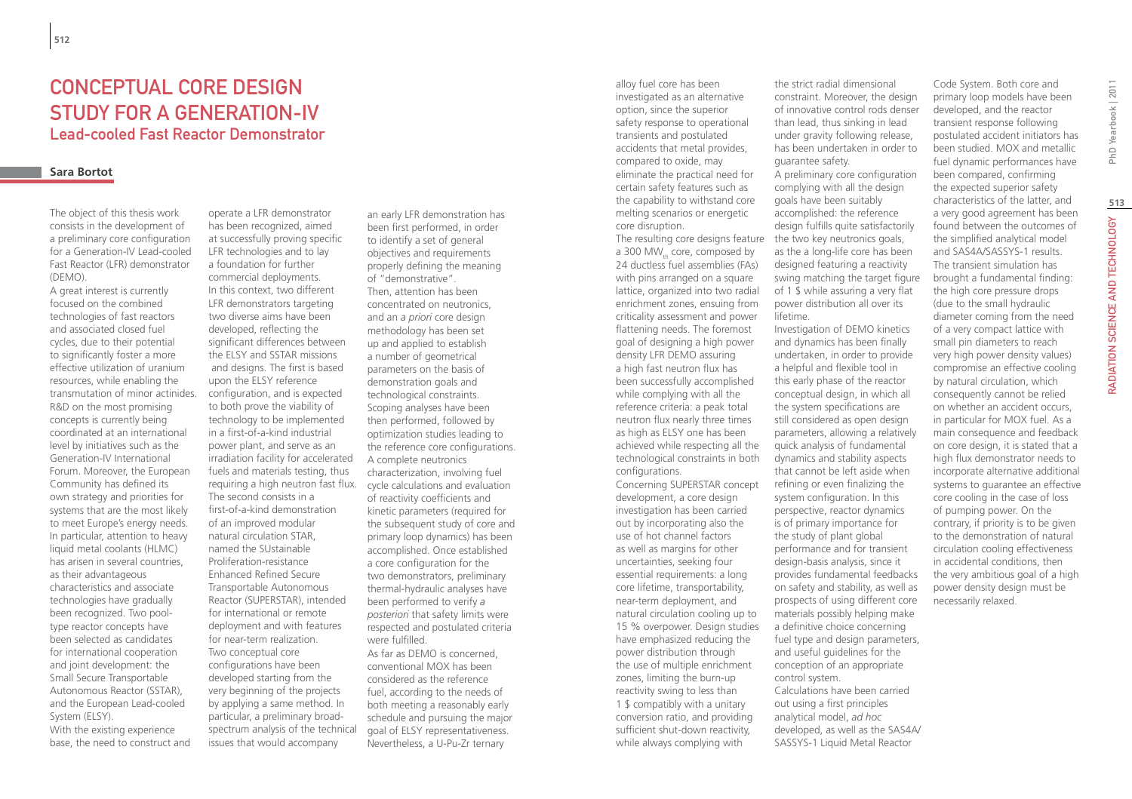# CONCEPTUAL CORE DESIGN Study for a Generation-IV Lead-cooled Fast Reactor Demonstrator

### **Sara Bortot**

The object of this thesis work consists in the development of a preliminary core configuration for a Generation-IV Lead-cooled Fast Reactor (LFR) demonstrator (DEMO).

A great interest is currently focused on the combined technologies of fast reactors and associated closed fuel cycles, due to their potential to significantly foster a more effective utilization of uranium resources, while enabling the transmutation of minor actinides. R&D on the most promising concepts is currently being coordinated at an international level by initiatives such as the Generation-IV International Forum. Moreover, the European Community has defined its own strategy and priorities for systems that are the most likely to meet Europe's energy needs. In particular, attention to heavy liquid metal coolants (HLMC) has arisen in several countries, as their advantageous characteristics and associate technologies have gradually been recognized. Two pooltype reactor concepts have been selected as candidates for international cooperation and joint development: the Small Secure Transportable Autonomous Reactor (SSTAR), and the European Lead-cooled System (ELSY). With the existing experience

base, the need to construct and

operate a LFR demonstrator has been recognized, aimed at successfully proving specific LFR technologies and to lay a foundation for further commercial deployments. In this context, two different LFR demonstrators targeting two diverse aims have been developed, reflecting the significant differences between the ELSY and SSTAR missions and designs. The first is based upon the ELSY reference configuration, and is expected to both prove the viability of technology to be implemented in a first-of-a-kind industrial power plant, and serve as an irradiation facility for accelerated fuels and materials testing, thus requiring a high neutron fast flux. The second consists in a first-of-a-kind demonstration of an improved modular natural circulation STAR, named the SUstainable Proliferation-resistance Enhanced Refined Secure Transportable Autonomous Reactor (SUPERSTAR), intended for international or remote deployment and with features for near-term realization. Two conceptual core configurations have been developed starting from the very beginning of the projects by applying a same method. In particular, a preliminary broadspectrum analysis of the technical issues that would accompany

an early LFR demonstration has been first performed, in order to identify a set of general objectives and requirements properly defining the meaning of "demonstrative". Then, attention has been concentrated on neutronics, and an *a priori* core design methodology has been set up and applied to establish a number of geometrical parameters on the basis of demonstration goals and technological constraints. Scoping analyses have been then performed, followed by optimization studies leading to the reference core configurations. A complete neutronics characterization, involving fuel cycle calculations and evaluation of reactivity coefficients and kinetic parameters (required for the subsequent study of core and primary loop dynamics) has been accomplished. Once established a core configuration for the two demonstrators, preliminary thermal-hydraulic analyses have been performed to verify *a posteriori* that safety limits were respected and postulated criteria were fulfilled. As far as DEMO is concerned, conventional MOX has been considered as the reference fuel, according to the needs of

both meeting a reasonably early schedule and pursuing the major goal of ELSY representativeness. Nevertheless, a U-Pu-Zr ternary

alloy fuel core has been investigated as an alternative option, since the superior safety response to operational transients and postulated accidents that metal provides, compared to oxide, may eliminate the practical need for certain safety features such as the capability to withstand core melting scenarios or energetic core disruption.

The resulting core designs feature the two key neutronics goals, a 300 MW $_{th}$  core, composed by 24 ductless fuel assemblies (FAs) with pins arranged on a square lattice, organized into two radial enrichment zones, ensuing from criticality assessment and power flattening needs. The foremost goal of designing a high power density LFR DEMO assuring a high fast neutron flux has been successfully accomplished while complying with all the reference criteria: a peak total neutron flux nearly three times as high as ELSY one has been achieved while respecting all the technological constraints in both configurations.

Concerning SUPERSTAR concept development, a core design investigation has been carried out by incorporating also the use of hot channel factors as well as margins for other uncertainties, seeking four essential requirements: a long core lifetime, transportability, near-term deployment, and natural circulation cooling up to 15 % overpower. Design studies have emphasized reducing the power distribution through the use of multiple enrichment zones, limiting the burn-up reactivity swing to less than 1 \$ compatibly with a unitary conversion ratio, and providing sufficient shut-down reactivity, while always complying with

the strict radial dimensional constraint. Moreover, the design of innovative control rods denser than lead, thus sinking in lead under gravity following release, has been undertaken in order to guarantee safety. A preliminary core configuration complying with all the design goals have been suitably accomplished: the reference design fulfills quite satisfactorily as the a long-life core has been designed featuring a reactivity swing matching the target figure of 1 \$ while assuring a very flat power distribution all over its lifetime.

Investigation of DEMO kinetics and dynamics has been finally undertaken, in order to provide a helpful and flexible tool in this early phase of the reactor conceptual design, in which all the system specifications are still considered as open design parameters, allowing a relatively quick analysis of fundamental dynamics and stability aspects that cannot be left aside when refining or even finalizing the system configuration. In this perspective, reactor dynamics is of primary importance for the study of plant global performance and for transient design-basis analysis, since it provides fundamental feedbacks on safety and stability, as well as prospects of using different core materials possibly helping make a definitive choice concerning fuel type and design parameters, and useful guidelines for the conception of an appropriate control system. Calculations have been carried out using a first principles analytical model, *ad hoc* developed, as well as the SAS4A/ SASSYS-1 Liquid Metal Reactor

Code System. Both core and primary loop models have been developed, and the reactor transient response following postulated accident initiators has been studied. MOX and metallic fuel dynamic performances have been compared, confirming the expected superior safety characteristics of the latter, and a very good agreement has been found between the outcomes of the simplified analytical model and SAS4A/SASSYS-1 results. The transient simulation has brought a fundamental finding: the high core pressure drops (due to the small hydraulic diameter coming from the need of a very compact lattice with small pin diameters to reach very high power density values) compromise an effective cooling by natural circulation, which consequently cannot be relied on whether an accident occurs, in particular for MOX fuel. As a main consequence and feedback on core design, it is stated that a high flux demonstrator needs to incorporate alternative additional systems to guarantee an effective core cooling in the case of loss of pumping power. On the contrary, if priority is to be given to the demonstration of natural circulation cooling effectiveness in accidental conditions, then

the very ambitious goal of a high power density design must be

necessarily relaxed.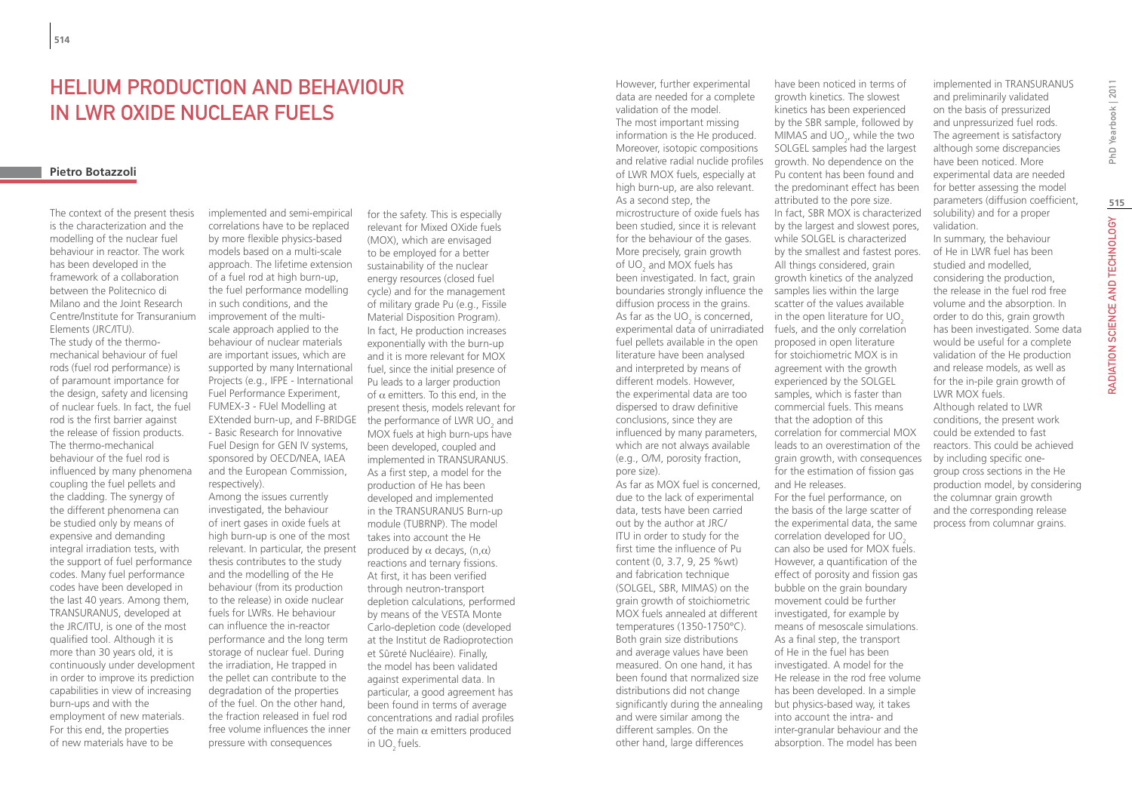# Helium Production and Behaviour in LWR Oxide Nuclear Fuels

### **Pietro Botazzoli**

The context of the present thesis is the characterization and the modelling of the nuclear fuel behaviour in reactor. The work has been developed in the framework of a collaboration between the Politecnico di Milano and the Joint Research Centre/Institute for Transuranium Elements (JRC/ITU). The study of the thermomechanical behaviour of fuel rods (fuel rod performance) is of paramount importance for the design, safety and licensing of nuclear fuels. In fact, the fuel rod is the first barrier against the release of fission products. The thermo-mechanical behaviour of the fuel rod is influenced by many phenomena coupling the fuel pellets and the cladding. The synergy of the different phenomena can be studied only by means of expensive and demanding integral irradiation tests, with the support of fuel performance codes. Many fuel performance codes have been developed in the last 40 years. Among them, TRANSURANUS, developed at the JRC/ITU, is one of the most qualified tool. Although it is more than 30 years old, it is continuously under development in order to improve its prediction capabilities in view of increasing burn-ups and with the employment of new materials. For this end, the properties of new materials have to be

implemented and semi-empirical correlations have to be replaced by more flexible physics-based models based on a multi-scale approach. The lifetime extension of a fuel rod at high burn-up, the fuel performance modelling in such conditions, and the improvement of the multiscale approach applied to the behaviour of nuclear materials are important issues, which are supported by many International Projects (e.g., IFPE - International Fuel Performance Experiment, FUMEX-3 - FUel Modelling at EXtended burn-up, and F-BRIDGE - Basic Research for Innovative Fuel Design for GEN IV systems, sponsored by OECD/NEA, IAEA and the European Commission, respectively).

Among the issues currently investigated, the behaviour of inert gases in oxide fuels at high burn-up is one of the most relevant. In particular, the present thesis contributes to the study and the modelling of the He behaviour (from its production to the release) in oxide nuclear fuels for LWRs. He behaviour can influence the in-reactor performance and the long term storage of nuclear fuel. During the irradiation, He trapped in the pellet can contribute to the degradation of the properties of the fuel. On the other hand, the fraction released in fuel rod free volume influences the inner pressure with consequences

for the safety. This is especially relevant for Mixed OXide fuels (MOX), which are envisaged to be employed for a better sustainability of the nuclear energy resources (closed fuel cycle) and for the management of military grade Pu (e.g., Fissile Material Disposition Program). In fact, He production increases exponentially with the burn-up and it is more relevant for MOX fuel, since the initial presence of Pu leads to a larger production of  $\alpha$  emitters. To this end, in the present thesis, models relevant for the performance of LWR UO $_{\rm _2}$  and MOX fuels at high burn-ups have been developed, coupled and implemented in TRANSURANUS. As a first step, a model for the production of He has been developed and implemented in the TRANSURANUS Burn-up module (TUBRNP). The model takes into account the He produced by  $\alpha$  decays, (n, $\alpha$ ) reactions and ternary fissions. At first, it has been verified through neutron-transport depletion calculations, performed by means of the VESTA Monte Carlo-depletion code (developed at the Institut de Radioprotection et Sûreté Nucléaire). Finally, the model has been validated against experimental data. In particular, a good agreement has been found in terms of average concentrations and radial profiles of the main  $\alpha$  emitters produced in UO<sub>2</sub> fuels.

However, further experimental data are needed for a complete validation of the model. The most important missing information is the He produced. Moreover, isotopic compositions and relative radial nuclide profiles of LWR MOX fuels, especially at high burn-up, are also relevant. As a second step, the microstructure of oxide fuels has been studied, since it is relevant for the behaviour of the gases. More precisely, grain growth of  $\textsf{UO}_2$  and MOX fuels has been investigated. In fact, grain boundaries strongly influence the diffusion process in the grains. As far as the  $\mathsf{UO}_2$  is concerned, experimental data of unirradiated fuels, and the only correlation fuel pellets available in the open literature have been analysed and interpreted by means of different models. However, the experimental data are too dispersed to draw definitive conclusions, since they are influenced by many parameters, which are not always available (e.g., O/M, porosity fraction, pore size). As far as MOX fuel is concerned, due to the lack of experimental data, tests have been carried out by the author at JRC/ ITU in order to study for the first time the influence of Pu content (0, 3.7, 9, 25 %wt) and fabrication technique (SOLGEL, SBR, MIMAS) on the grain growth of stoichiometric MOX fuels annealed at different

temperatures (1350-1750°C). Both grain size distributions and average values have been measured. On one hand, it has been found that normalized size distributions did not change

and were similar among the different samples. On the other hand, large differences

significantly during the annealing but physics-based way, it takes MIMAS and  $\mathsf{UO}_{2}$ , while the two SOLGEL samples had the largest growth. No dependence on the Pu content has been found and the predominant effect has been attributed to the pore size. In fact, SBR MOX is characterized by the largest and slowest pores, while SOLGEL is characterized by the smallest and fastest pores. All things considered, grain growth kinetics of the analyzed samples lies within the large scatter of the values available in the open literature for  $UO<sub>2</sub>$ proposed in open literature for stoichiometric MOX is in agreement with the growth experienced by the SOLGEL samples, which is faster than commercial fuels. This means that the adoption of this correlation for commercial MOX leads to an overestimation of the grain growth, with consequences for the estimation of fission gas and He releases. For the fuel performance, on the basis of the large scatter of the experimental data, the same correlation developed for UO<sub>2</sub> can also be used for MOX fuels. However, a quantification of the effect of porosity and fission gas bubble on the grain boundary movement could be further investigated, for example by means of mesoscale simulations. As a final step, the transport of He in the fuel has been investigated. A model for the He release in the rod free volume has been developed. In a simple into account the intra- and inter-granular behaviour and the absorption. The model has been

have been noticed in terms of growth kinetics. The slowest kinetics has been experienced by the SBR sample, followed by implemented in TRANSURANUS and preliminarily validated on the basis of pressurized and unpressurized fuel rods. The agreement is satisfactory although some discrepancies have been noticed. More experimental data are needed for better assessing the model parameters (diffusion coefficient, solubility) and for a proper validation.

In summary, the behaviour of He in LWR fuel has been studied and modelled, considering the production, the release in the fuel rod free volume and the absorption. In order to do this, grain growth has been investigated. Some data would be useful for a complete validation of the He production and release models, as well as for the in-pile grain growth of LWR MOX fuels. Although related to LWR conditions, the present work could be extended to fast reactors. This could be achieved by including specific onegroup cross sections in the He production model, by considering the columnar grain growth and the corresponding release process from columnar grains.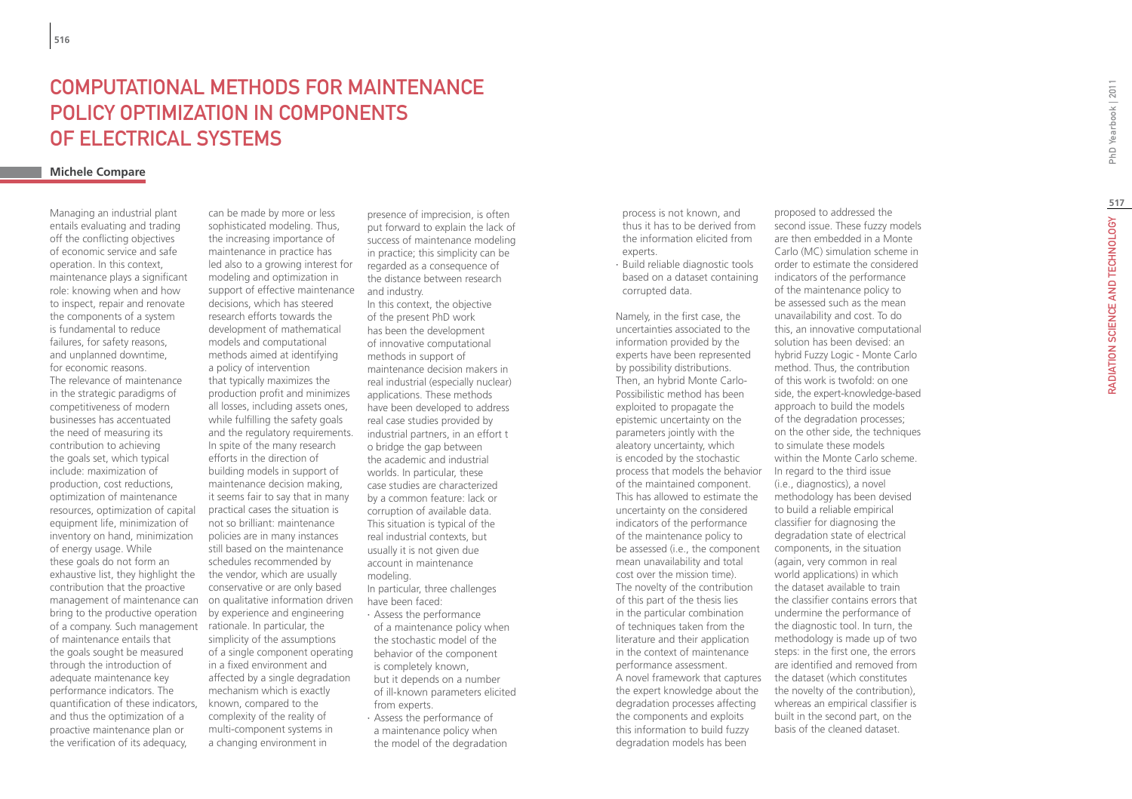# **COMPUTATIONAL METHODS FOR MAINTENANCE<br>
POLICY OPTIMIZATION IN COMPONENTS<br>
OF ELECTRICAL SYSTEMS<br>
Michele Compare**

Managing an industrial plant entails evaluating and trading off the conflicting objectives of economic service and safe operation. In this context, maintenance plays a significant role: knowing when and how to inspect, repair and renovate the components of a system is fundamental to reduce failures, for safety reasons, and unplanned downtime, for economic reasons. The relevance of maintenance in the strategic paradigms of competitiveness of modern businesses has accentuated the need of measuring its contribution to achieving the goals set, which typical include: maximization of production, cost reductions, optimization of maintenance resources, optimization of capital equipment life, minimization of inventory on hand, minimization of energy usage. While these goals do not form an exhaustive list, they highlight the contribution that the proactive management of maintenance can bring to the productive operation of a company. Such management of maintenance entails that the goals sought be measured through the introduction of adequate maintenance key performance indicators. The quantification of these indicators, and thus the optimization of a proactive maintenance plan or the verification of its adequacy,

can be made by more or less sophisticated modeling. Thus, the increasing importance of maintenance in practice has led also to a growing interest for modeling and optimization in support of effective maintenance decisions, which has steered research efforts towards the development of mathematical models and computational methods aimed at identifying a policy of intervention that typically maximizes the production profit and minimizes all losses, including assets ones, while fulfilling the safety goals and the regulatory requirements. In spite of the many research efforts in the direction of building models in support of maintenance decision making, it seems fair to say that in many practical cases the situation is not so brilliant: maintenance policies are in many instances still based on the maintenance schedules recommended by the vendor, which are usually conservative or are only based on qualitative information driven by experience and engineering rationale. In particular, the simplicity of the assumptions of a single component operating in a fixed environment and affected by a single degradation mechanism which is exactly known, compared to the complexity of the reality of multi-component systems in a changing environment in

presence of imprecision, is often put forward to explain the lack of success of maintenance modeling in practice; this simplicity can be regarded as a consequence of the distance between research and industry.

In this context, the objective of the present PhD work has been the development of innovative computational methods in support of maintenance decision makers in real industrial (especially nuclear) applications. These methods have been developed to address real case studies provided by industrial partners, in an effort t o bridge the gap between the academic and industrial worlds. In particular, these case studies are characterized by a common feature: lack or corruption of available data. This situation is typical of the real industrial contexts, but usually it is not given due account in maintenance modeling. In particular, three challenges have been faced:

- ∙ Assess the performance of a maintenance policy when the stochastic model of the behavior of the component is completely known, but it depends on a number of ill-known parameters elicited from experts. ∙ Assess the performance of
- a maintenance policy when the model of the degradation

process is not known, and thus it has to be derived from the information elicited from experts.

∙ Build reliable diagnostic tools based on a dataset containing corrupted data.

Namely, in the first case, the uncertainties associated to the information provided by the experts have been represented by possibility distributions. Then, an hybrid Monte Carlo-Possibilistic method has been exploited to propagate the epistemic uncertainty on the parameters jointly with the aleatory uncertainty, which is encoded by the stochastic process that models the behavior of the maintained component. This has allowed to estimate the uncertainty on the considered indicators of the performance of the maintenance policy to be assessed (i.e., the component mean unavailability and total cost over the mission time). The novelty of the contribution of this part of the thesis lies in the particular combination of techniques taken from the literature and their application in the context of maintenance performance assessment. A novel framework that captures the expert knowledge about the degradation processes affecting the components and exploits this information to build fuzzy degradation models has been

proposed to addressed the second issue. These fuzzy models are then embedded in a Monte Carlo (MC) simulation scheme in order to estimate the considered indicators of the performance of the maintenance policy to be assessed such as the mean unavailability and cost. To do this, an innovative computational solution has been devised: an hybrid Fuzzy Logic - Monte Carlo method. Thus, the contribution of this work is twofold: on one side, the expert-knowledge-based approach to build the models of the degradation processes; on the other side, the techniques to simulate these models within the Monte Carlo scheme. In regard to the third issue (i.e., diagnostics), a novel methodology has been devised to build a reliable empirical classifier for diagnosing the degradation state of electrical components, in the situation (again, very common in real world applications) in which the dataset available to train the classifier contains errors that undermine the performance of the diagnostic tool. In turn, the methodology is made up of two steps: in the first one, the errors are identified and removed from the dataset (which constitutes the novelty of the contribution), whereas an empirical classifier is built in the second part, on the basis of the cleaned dataset.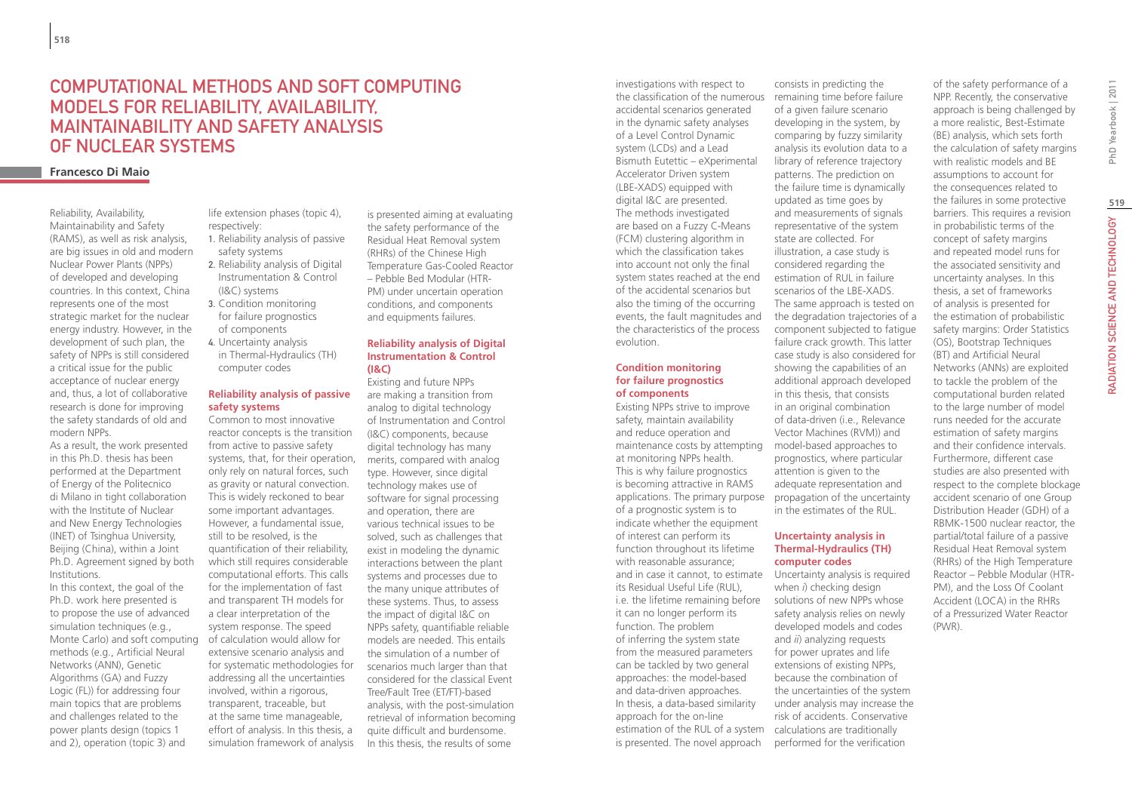# COMPUTATIONAL METHODS AND SOFT COMPUTING MODELS FOR RELIABILITY, AVAILABILITY, MAINTAINABILITY AND SAFETY ANALYSIS OF NUCLEAR SYSTEMS

### **Francesco Di Maio**

Reliability, Availability, Maintainability and Safety (RAMS), as well as risk analysis, are big issues in old and modern Nuclear Power Plants (NPPs) of developed and developing countries. In this context, China represents one of the most strategic market for the nuclear energy industry. However, in the development of such plan, the safety of NPPs is still considered a critical issue for the public acceptance of nuclear energy and, thus, a lot of collaborative research is done for improving the safety standards of old and modern NPPs.

As a result, the work presented in this Ph.D. thesis has been performed at the Department of Energy of the Politecnico di Milano in tight collaboration with the Institute of Nuclear and New Energy Technologies (INET) of Tsinghua University, Beijing (China), within a Joint Ph.D. Agreement signed by both Institutions.

In this context, the goal of the Ph.D. work here presented is to propose the use of advanced simulation techniques (e.g., Monte Carlo) and soft computing methods (e.g., Artificial Neural Networks (ANN), Genetic Algorithms (GA) and Fuzzy Logic (FL)) for addressing four main topics that are problems and challenges related to the power plants design (topics 1 and 2), operation (topic 3) and

life extension phases (topic 4), respectively:

- 1. Reliability analysis of passive safety systems
- 2. Reliability analysis of Digital Instrumentation & Control (I&C) systems
- 3. Condition monitoring for failure prognostics of components
- 4. Uncertainty analysis
- in Thermal-Hydraulics (TH) computer codes

### **Reliability analysis of passive safety systems**

Common to most innovative reactor concepts is the transition from active to passive safety systems, that, for their operation, only rely on natural forces, such as gravity or natural convection. This is widely reckoned to bear some important advantages. However, a fundamental issue, still to be resolved, is the quantification of their reliability, which still requires considerable computational efforts. This calls for the implementation of fast and transparent TH models for a clear interpretation of the system response. The speed of calculation would allow for extensive scenario analysis and for systematic methodologies for addressing all the uncertainties involved, within a rigorous, transparent, traceable, but at the same time manageable, effort of analysis. In this thesis, a simulation framework of analysis

is presented aiming at evaluating the safety performance of the Residual Heat Removal system (RHRs) of the Chinese High Temperature Gas-Cooled Reactor – Pebble Bed Modular (HTR-PM) under uncertain operation conditions, and components and equipments failures.

### **Reliability analysis of Digital Instrumentation & Control (I&C)**

Existing and future NPPs are making a transition from analog to digital technology of Instrumentation and Control (I&C) components, because digital technology has many merits, compared with analog type. However, since digital technology makes use of software for signal processing and operation, there are various technical issues to be solved, such as challenges that exist in modeling the dynamic interactions between the plant systems and processes due to the many unique attributes of these systems. Thus, to assess the impact of digital I&C on NPPs safety, quantifiable reliable models are needed. This entails the simulation of a number of scenarios much larger than that considered for the classical Event Tree/Fault Tree (ET/FT)-based analysis, with the post-simulation retrieval of information becoming quite difficult and burdensome. In this thesis, the results of some

investigations with respect to the classification of the numerous accidental scenarios generated in the dynamic safety analyses of a Level Control Dynamic system (LCDs) and a Lead Bismuth Eutettic – eXperimental Accelerator Driven system (LBE-XADS) equipped with digital I&C are presented. The methods investigated are based on a Fuzzy C-Means (FCM) clustering algorithm in which the classification takes into account not only the final system states reached at the end of the accidental scenarios but also the timing of the occurring events, the fault magnitudes and the characteristics of the process evolution.

### **Condition monitoring for failure prognostics of components**

maintenance costs by attempting model-based approaches to applications. The primary purpose propagation of the uncertainty i.e. the lifetime remaining before solutions of new NPPs whose estimation of the RUL of a system calculations are traditionally Existing NPPs strive to improve safety, maintain availability and reduce operation and at monitoring NPPs health. This is why failure prognostics is becoming attractive in RAMS of a prognostic system is to indicate whether the equipment of interest can perform its function throughout its lifetime with reasonable assurance; and in case it cannot, to estimate its Residual Useful Life (RUL), it can no longer perform its function. The problem of inferring the system state from the measured parameters can be tackled by two general approaches: the model-based and data-driven approaches. In thesis, a data-based similarity approach for the on-line is presented. The novel approach

consists in predicting the remaining time before failure of a given failure scenario developing in the system, by comparing by fuzzy similarity analysis its evolution data to a library of reference trajectory patterns. The prediction on the failure time is dynamically updated as time goes by and measurements of signals representative of the system state are collected. For illustration, a case study is considered regarding the estimation of RUL in failure scenarios of the LBE-XADS. The same approach is tested on the degradation trajectories of a component subjected to fatigue failure crack growth. This latter case study is also considered for showing the capabilities of an additional approach developed in this thesis, that consists in an original combination of data-driven (i.e., Relevance Vector Machines (RVM)) and prognostics, where particular attention is given to the adequate representation and

## **Uncertainty analysis in Thermal-Hydraulics (TH) computer codes**

in the estimates of the RUL.

Uncertainty analysis is required when *i*) checking design safety analysis relies on newly developed models and codes and *ii*) analyzing requests for power uprates and life extensions of existing NPPs, because the combination of the uncertainties of the system under analysis may increase the risk of accidents. Conservative performed for the verification

of the safety performance of a NPP. Recently, the conservative approach is being challenged by a more realistic, Best-Estimate (BE) analysis, which sets forth the calculation of safety margins with realistic models and BE assumptions to account for the consequences related to the failures in some protective barriers. This requires a revision in probabilistic terms of the concept of safety margins and repeated model runs for the associated sensitivity and uncertainty analyses. In this thesis, a set of frameworks of analysis is presented for the estimation of probabilistic safety margins: Order Statistics (OS), Bootstrap Techniques (BT) and Artificial Neural Networks (ANNs) are exploited to tackle the problem of the computational burden related to the large number of model runs needed for the accurate estimation of safety margins and their confidence intervals. Furthermore, different case studies are also presented with respect to the complete blockage accident scenario of one Group Distribution Header (GDH) of a RBMK-1500 nuclear reactor, the partial/total failure of a passive Residual Heat Removal system (RHRs) of the High Temperature Reactor – Pebble Modular (HTR-PM), and the Loss Of Coolant Accident (LOCA) in the RHRs of a Pressurized Water Reactor (PWR).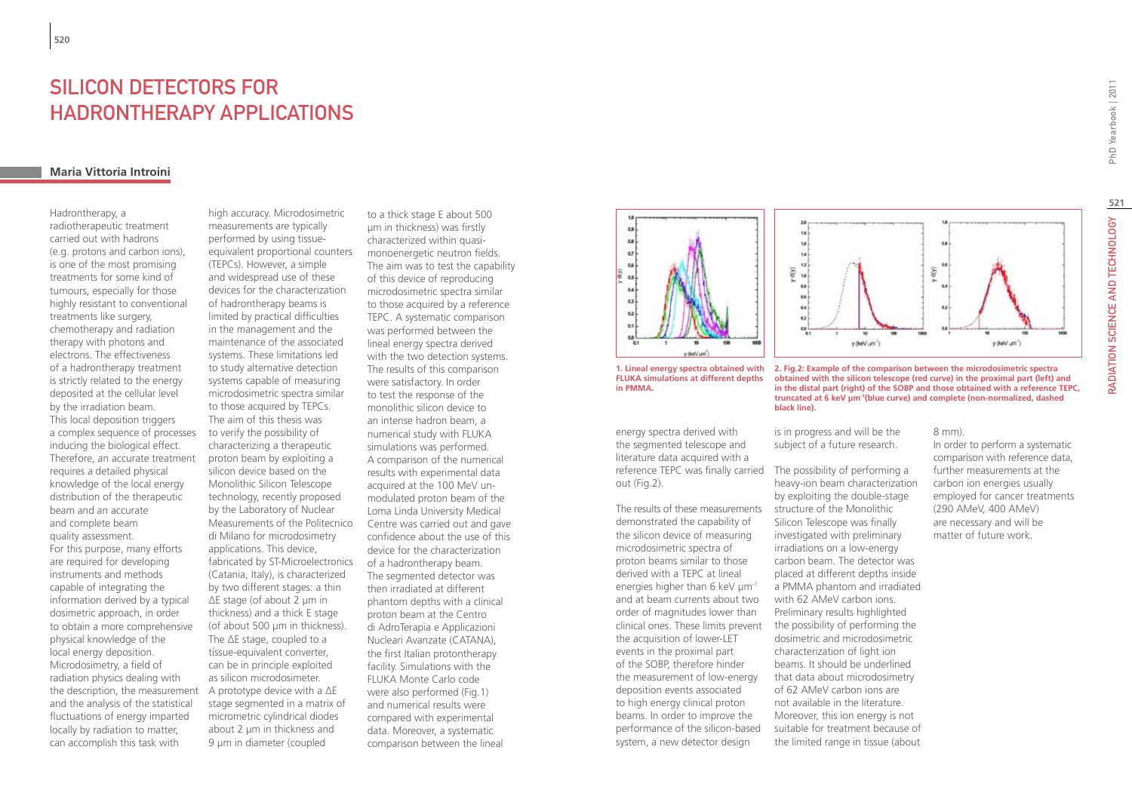# SILICON DETECTORS FOR HADRONTHERAPY APPLICATIONS

### **Maria Vittoria Introini**

Hadrontherapy, a radiotherapeutic treatment carried out with hadrons (e.g. protons and carbon ions), is one of the most promising treatments for some kind of tumours, especially for those highly resistant to conventional treatments like surgery, chemotherapy and radiation therapy with photons and electrons. The effectiveness of a hadrontherapy treatment is strictly related to the energy deposited at the cellular level by the irradiation beam. This local deposition triggers a complex sequence of processes inducing the biological effect. Therefore, an accurate treatment requires a detailed physical knowledge of the local energy distribution of the therapeutic beam and an accurate and complete beam quality assessment. For this purpose, many efforts are required for developing instruments and methods capable of integrating the information derived by a typical dosimetric approach, in order to obtain a more comprehensive physical knowledge of the local energy deposition. Microdosimetry, a field of radiation physics dealing with the description, the measurement and the analysis of the statistical fluctuations of energy imparted locally by radiation to matter, can accomplish this task with

high accuracy. Microdosimetric measurements are typically performed by using tissueequivalent proportional counters (TEPCs). However, a simple and widespread use of these devices for the characterization of hadrontherapy beams is limited by practical difficulties in the management and the maintenance of the associated systems. These limitations led to study alternative detection systems capable of measuring microdosimetric spectra similar to those acquired by TEPCs. The aim of this thesis was to verify the possibility of characterizing a therapeutic proton beam by exploiting a silicon device based on the Monolithic Silicon Telescope technology, recently proposed by the Laboratory of Nuclear Measurements of the Politecnico di Milano for microdosimetry applications. This device, fabricated by ST-Microelectronics (Catania, Italy), is characterized by two different stages: a thin ΔE stage (of about 2 μm in thickness) and a thick E stage (of about 500 μm in thickness). The ΔE stage, coupled to a tissue-equivalent converter, can be in principle exploited as silicon microdosimeter. A prototype device with a ΔE stage segmented in a matrix of micrometric cylindrical diodes about 2 μm in thickness and 9 μm in diameter (coupled

to a thick stage E about 500 μm in thickness) was firstly characterized within quasimonoenergetic neutron fields. The aim was to test the capability of this device of reproducing microdosimetric spectra similar to those acquired by a reference TEPC. A systematic comparison was performed between the lineal energy spectra derived with the two detection systems. The results of this comparison were satisfactory. In order to test the response of the monolithic silicon device to an intense hadron beam, a numerical study with FLUKA simulations was performed. A comparison of the numerical results with experimental data acquired at the 100 MeV unmodulated proton beam of the Loma Linda University Medical Centre was carried out and gave confidence about the use of this device for the characterization of a hadrontherapy beam. The segmented detector was then irradiated at different phantom depths with a clinical proton beam at the Centro di AdroTerapia e Applicazioni Nucleari Avanzate (CATANA), the first Italian protontherapy facility. Simulations with the FLUKA Monte Carlo code were also performed (Fig.1) and numerical results were compared with experimental data. Moreover, a systematic comparison between the lineal





reference TEPC was finally carried The possibility of performing a energy spectra derived with the segmented telescope and literature data acquired with a out (Fig.2).

**in PMMA.**

clinical ones. These limits prevent the possibility of performing the The results of these measurements demonstrated the capability of the silicon device of measuring microdosimetric spectra of proton beams similar to those derived with a TEPC at lineal energies higher than 6 keV  $\mu$ m<sup>-1</sup> and at beam currents about two order of magnitudes lower than the acquisition of lower-LET events in the proximal part of the SOBP, therefore hinder the measurement of low-energy deposition events associated to high energy clinical proton beams. In order to improve the performance of the silicon-based system, a new detector design



**1. Lineal energy spectra obtained with 2. Fig.2: Example of the comparison between the microdosimetric spectra obtained with the silicon telescope (red curve) in the proximal part (left) and in the distal part (right) of the SOBP and those obtained with a reference TEPC, truncated at 6 keV μm-1(blue curve) and complete (non-normalized, dashed black line).**

> is in progress and will be the subject of a future research.

heavy-ion beam characterization by exploiting the double-stage structure of the Monolithic Silicon Telescope was finally investigated with preliminary irradiations on a low-energy carbon beam. The detector was placed at different depths inside a PMMA phantom and irradiated with 62 AMeV carbon ions. Preliminary results highlighted dosimetric and microdosimetric characterization of light ion beams. It should be underlined that data about microdosimetry of 62 AMeV carbon ions are not available in the literature. Moreover, this ion energy is not suitable for treatment because of the limited range in tissue (about

8 mm).

In order to perform a systematic comparison with reference data, further measurements at the carbon ion energies usually employed for cancer treatments (290 AMeV, 400 AMeV) are necessary and will be matter of future work.

RADIATION SCIENCE AND TECHNOLOGY PhD Yearbook | 2011 **521**RADIATION SCIENCE AND TECHNOLOGY

PhD Yearbook | 2011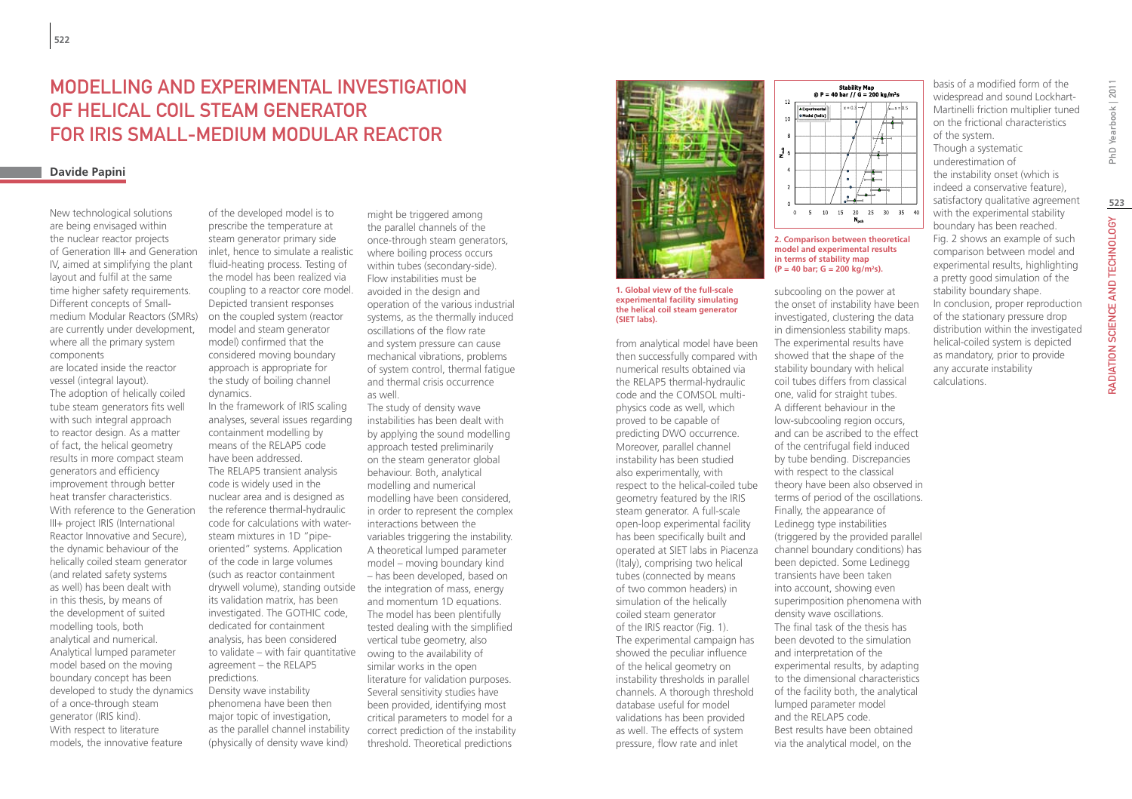# Modelling and experimental investigation of helical coil steam generator for IRIS Small-medium Modular Reactor

### **Davide Papini**

New technological solutions are being envisaged within the nuclear reactor projects of Generation III+ and Generation IV, aimed at simplifying the plant layout and fulfil at the same time higher safety requirements. Different concepts of Smallmedium Modular Reactors (SMRs) are currently under development, where all the primary system components

are located inside the reactor vessel (integral layout). The adoption of helically coiled tube steam generators fits well with such integral approach to reactor design. As a matter of fact, the helical geometry results in more compact steam generators and efficiency improvement through better heat transfer characteristics. With reference to the Generation III+ project IRIS (International Reactor Innovative and Secure), the dynamic behaviour of the helically coiled steam generator (and related safety systems as well) has been dealt with in this thesis, by means of the development of suited modelling tools, both analytical and numerical. Analytical lumped parameter model based on the moving boundary concept has been developed to study the dynamics of a once-through steam generator (IRIS kind). With respect to literature models, the innovative feature

of the developed model is to prescribe the temperature at steam generator primary side inlet, hence to simulate a realistic fluid-heating process. Testing of the model has been realized via coupling to a reactor core model. Depicted transient responses on the coupled system (reactor model and steam generator model) confirmed that the considered moving boundary approach is appropriate for the study of boiling channel dynamics.

In the framework of IRIS scaling analyses, several issues regarding containment modelling by means of the RELAP5 code have been addressed. The RELAP5 transient analysis code is widely used in the nuclear area and is designed as the reference thermal-hydraulic code for calculations with watersteam mixtures in 1D "pipeoriented" systems. Application of the code in large volumes (such as reactor containment drywell volume), standing outside its validation matrix, has been investigated. The GOTHIC code, dedicated for containment analysis, has been considered to validate – with fair quantitative agreement – the RELAP5 predictions. Density wave instability phenomena have been then major topic of investigation, as the parallel channel instability (physically of density wave kind)

might be triggered among the parallel channels of the once-through steam generators, where boiling process occurs within tubes (secondary-side). Flow instabilities must be avoided in the design and operation of the various industrial systems, as the thermally induced oscillations of the flow rate and system pressure can cause mechanical vibrations, problems of system control, thermal fatigue and thermal crisis occurrence as well.

The study of density wave instabilities has been dealt with by applying the sound modelling approach tested preliminarily on the steam generator global behaviour. Both, analytical modelling and numerical modelling have been considered, in order to represent the complex interactions between the variables triggering the instability. A theoretical lumped parameter model – moving boundary kind – has been developed, based on the integration of mass, energy and momentum 1D equations. The model has been plentifully tested dealing with the simplified vertical tube geometry, also owing to the availability of similar works in the open literature for validation purposes. Several sensitivity studies have been provided, identifying most critical parameters to model for a correct prediction of the instability threshold. Theoretical predictions



**1. Global view of the full-scale experimental facility simulating the helical coil steam generator (SIET labs).** 

from analytical model have been then successfully compared with numerical results obtained via the RELAP5 thermal-hydraulic code and the COMSOL multiphysics code as well, which proved to be capable of predicting DWO occurrence. Moreover, parallel channel instability has been studied also experimentally, with respect to the helical-coiled tube geometry featured by the IRIS steam generator. A full-scale open-loop experimental facility has been specifically built and operated at SIET labs in Piacenza (Italy), comprising two helical tubes (connected by means of two common headers) in simulation of the helically coiled steam generator of the IRIS reactor (Fig. 1). The experimental campaign has showed the peculiar influence of the helical geometry on instability thresholds in parallel channels. A thorough threshold database useful for model validations has been provided as well. The effects of system pressure, flow rate and inlet

basis of a modified form of the Stability Map<br>@ P = 40 bar // G = 200 kg/m<sup>2</sup>s  $\frac{4}{3}$  6  $\frac{20}{N_{\text{neh}}}$ 10 15 25 30 35 40  $\circ$  $-5$ **2. Comparison between theoretical** 

**model and experimental results in terms of stability map (P = 40 bar; G = 200 kg/m2 s).**

subcooling on the power at the onset of instability have been investigated, clustering the data in dimensionless stability maps. The experimental results have showed that the shape of the stability boundary with helical coil tubes differs from classical one, valid for straight tubes. A different behaviour in the low-subcooling region occurs, and can be ascribed to the effect of the centrifugal field induced by tube bending. Discrepancies with respect to the classical theory have been also observed in terms of period of the oscillations. Finally, the appearance of Ledinegg type instabilities (triggered by the provided parallel channel boundary conditions) has been depicted. Some Ledinegg transients have been taken into account, showing even superimposition phenomena with density wave oscillations. The final task of the thesis has been devoted to the simulation and interpretation of the experimental results, by adapting to the dimensional characteristics of the facility both, the analytical lumped parameter model and the RELAP5 code. Best results have been obtained via the analytical model, on the

widespread and sound Lockhart-Martinelli friction multiplier tuned on the frictional characteristics of the system. Though a systematic underestimation of the instability onset (which is indeed a conservative feature), satisfactory qualitative agreement with the experimental stability boundary has been reached. Fig. 2 shows an example of such comparison between model and experimental results, highlighting a pretty good simulation of the stability boundary shape. In conclusion, proper reproduction of the stationary pressure drop distribution within the investigated helical-coiled system is depicted as mandatory, prior to provide any accurate instability

calculations.